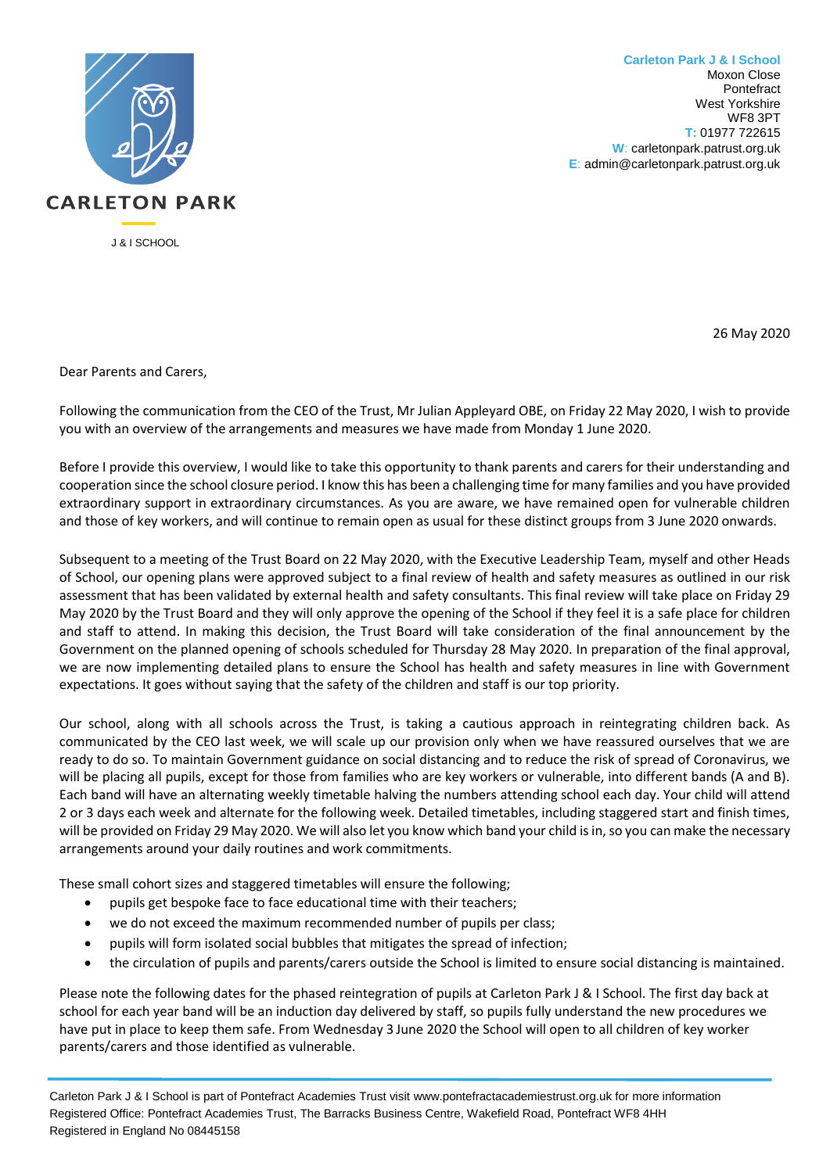

**Carleton Park J & I School** Moxon Close Pontefract West Yorkshire WF8 3PT **T:** 01977 722615 **W**: carletonpark.patrust.org.uk **E**: admin@carletonpark.patrust.org.uk

26 May 2020

Dear Parents and Carers,

Following the communication from the CEO of the Trust, Mr Julian Appleyard OBE, on Friday 22 May 2020, I wish to provide you with an overview of the arrangements and measures we have made from Monday 1 June 2020.

Before I provide this overview, I would like to take this opportunity to thank parents and carers for their understanding and cooperation since the school closure period. I know this has been a challenging time for many families and you have provided extraordinary support in extraordinary circumstances. As you are aware, we have remained open for vulnerable children and those of key workers, and will continue to remain open as usual for these distinct groups from 3 June 2020 onwards.

Subsequent to a meeting of the Trust Board on 22 May 2020, with the Executive Leadership Team, myself and other Heads of School, our opening plans were approved subject to a final review of health and safety measures as outlined in our risk assessment that has been validated by external health and safety consultants. This final review will take place on Friday 29 May 2020 by the Trust Board and they will only approve the opening of the School if they feel it is a safe place for children and staff to attend. In making this decision, the Trust Board will take consideration of the final announcement by the Government on the planned opening of schools scheduled for Thursday 28 May 2020. In preparation of the final approval, we are now implementing detailed plans to ensure the School has health and safety measures in line with Government expectations. It goes without saying that the safety of the children and staff is our top priority.

Our school, along with all schools across the Trust, is taking a cautious approach in reintegrating children back. As communicated by the CEO last week, we will scale up our provision only when we have reassured ourselves that we are ready to do so. To maintain Government guidance on social distancing and to reduce the risk of spread of Coronavirus, we will be placing all pupils, except for those from families who are key workers or vulnerable, into different bands (A and B). Each band will have an alternating weekly timetable halving the numbers attending school each day. Your child will attend 2 or 3 days each week and alternate for the following week. Detailed timetables, including staggered start and finish times, will be provided on Friday 29 May 2020. We will also let you know which band your child is in, so you can make the necessary arrangements around your daily routines and work commitments.

These small cohort sizes and staggered timetables will ensure the following;

- pupils get bespoke face to face educational time with their teachers;
- we do not exceed the maximum recommended number of pupils per class;
- pupils will form isolated social bubbles that mitigates the spread of infection;
- the circulation of pupils and parents/carers outside the School is limited to ensure social distancing is maintained.

Please note the following dates for the phased reintegration of pupils at Carleton Park J & I School. The first day back at school for each year band will be an induction day delivered by staff, so pupils fully understand the new procedures we have put in place to keep them safe. From Wednesday 3 June 2020 the School will open to all children of key worker parents/carers and those identified as vulnerable.

Carleton Park J & I School is part of Pontefract Academies Trust visit www.pontefractacademiestrust.org.uk for more information Registered Office: Pontefract Academies Trust, The Barracks Business Centre, Wakefield Road, Pontefract WF8 4HH Registered in England No 08445158